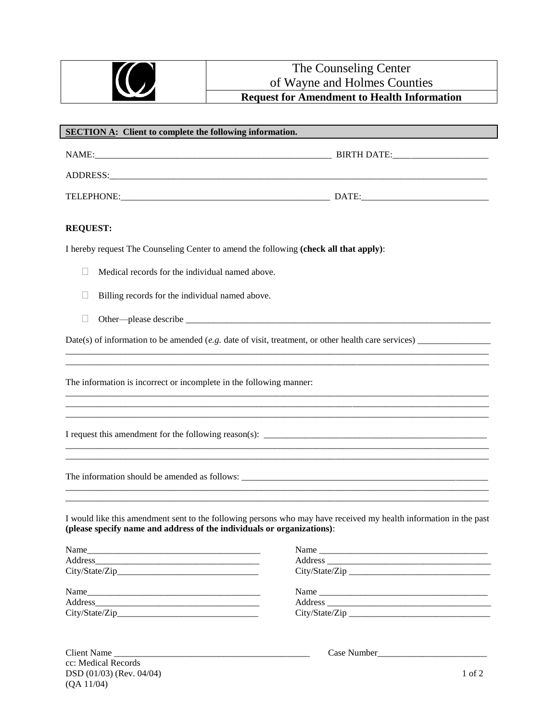|                | The Counseling Center                              |  |
|----------------|----------------------------------------------------|--|
| $J\!\!J$<br>◥◟ | of Wayne and Holmes Counties                       |  |
|                | <b>Request for Amendment to Health Information</b> |  |
|                |                                                    |  |

| <b>SECTION A:</b> Client to complete the following information. |                                                                                       |                                                                                                                   |
|-----------------------------------------------------------------|---------------------------------------------------------------------------------------|-------------------------------------------------------------------------------------------------------------------|
|                                                                 |                                                                                       |                                                                                                                   |
|                                                                 | ADDRESS:                                                                              |                                                                                                                   |
|                                                                 |                                                                                       |                                                                                                                   |
| <b>REQUEST:</b>                                                 |                                                                                       |                                                                                                                   |
|                                                                 | I hereby request The Counseling Center to amend the following (check all that apply): |                                                                                                                   |
|                                                                 | Medical records for the individual named above.                                       |                                                                                                                   |
| L                                                               | Billing records for the individual named above.                                       |                                                                                                                   |
|                                                                 |                                                                                       |                                                                                                                   |
|                                                                 |                                                                                       |                                                                                                                   |
|                                                                 | The information is incorrect or incomplete in the following manner:                   |                                                                                                                   |
|                                                                 |                                                                                       |                                                                                                                   |
|                                                                 |                                                                                       |                                                                                                                   |
|                                                                 | (please specify name and address of the individuals or organizations):                | I would like this amendment sent to the following persons who may have received my health information in the past |
| Name                                                            |                                                                                       | Name                                                                                                              |

| $\blacksquare$ |  |
|----------------|--|
|                |  |
| City/State/Zip |  |
|                |  |
|                |  |
|                |  |
|                |  |
|                |  |

| Client Name                | Case Number |        |
|----------------------------|-------------|--------|
| cc: Medical Records        |             |        |
| $DSD (01/03)$ (Rev. 04/04) |             | 1 of 2 |
| (QA 11/04)                 |             |        |